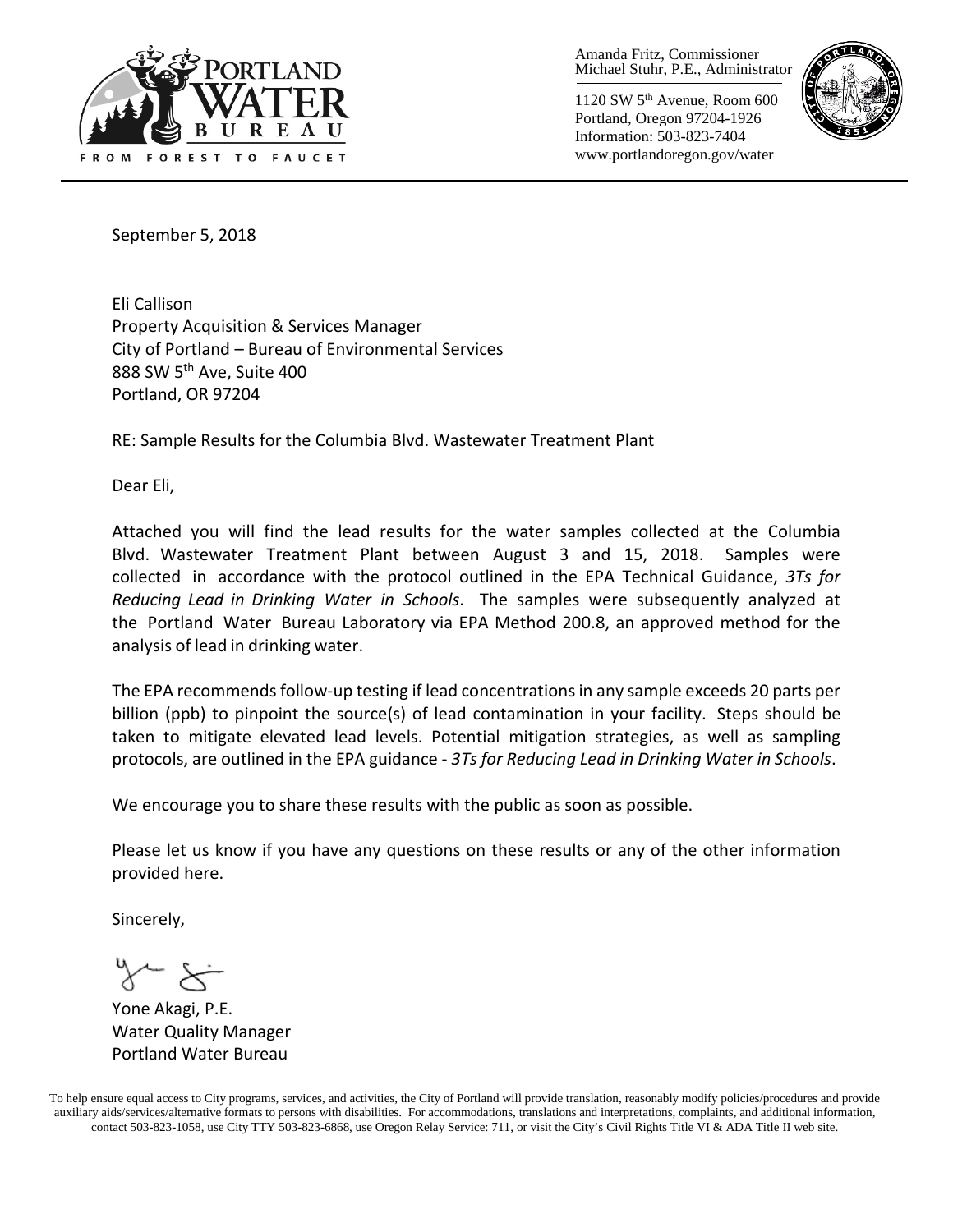

Amanda Fritz, Commissioner Michael Stuhr, P.E., Administrator

1120 SW 5th Avenue, Room 600 Portland, Oregon 97204-1926 Information: 503-823-7404 www.portlandoregon.gov/water



September 5, 2018

Eli Callison Property Acquisition & Services Manager City of Portland – Bureau of Environmental Services 888 SW 5th Ave, Suite 400 Portland, OR 97204

RE: Sample Results for the Columbia Blvd. Wastewater Treatment Plant

Dear Eli,

Attached you will find the lead results for the water samples collected at the Columbia Blvd. Wastewater Treatment Plant between August 3 and 15, 2018. Samples were collected in accordance with the protocol outlined in the EPA Technical Guidance, *3Ts for Reducing Lead in Drinking Water in Schools*. The samples were subsequently analyzed at the Portland Water Bureau Laboratory via EPA Method 200.8, an approved method for the analysis of lead in drinking water.

The EPA recommends follow-up testing if lead concentrations in any sample exceeds 20 parts per billion (ppb) to pinpoint the source(s) of lead contamination in your facility. Steps should be taken to mitigate elevated lead levels. Potential mitigation strategies, as well as sampling protocols, are outlined in the EPA guidance - *3Ts for Reducing Lead in Drinking Water in Schools*.

We encourage you to share these results with the public as soon as possible.

Please let us know if you have any questions on these results or any of the other information provided here.

Sincerely,

 $x \star$ 

Yone Akagi, P.E. Water Quality Manager Portland Water Bureau

To help ensure equal access to City programs, services, and activities, the City of Portland will provide translation, reasonably modify policies/procedures and provide auxiliary aids/services/alternative formats to persons with disabilities. For accommodations, translations and interpretations, complaints, and additional information, contact 503-823-1058, use City TTY 503-823-6868, use Oregon Relay Service: 711, or visi[t the City's Civil Rights Title VI & ADA Title II web site.](http://www.portlandoregon.gov/oehr/66458)